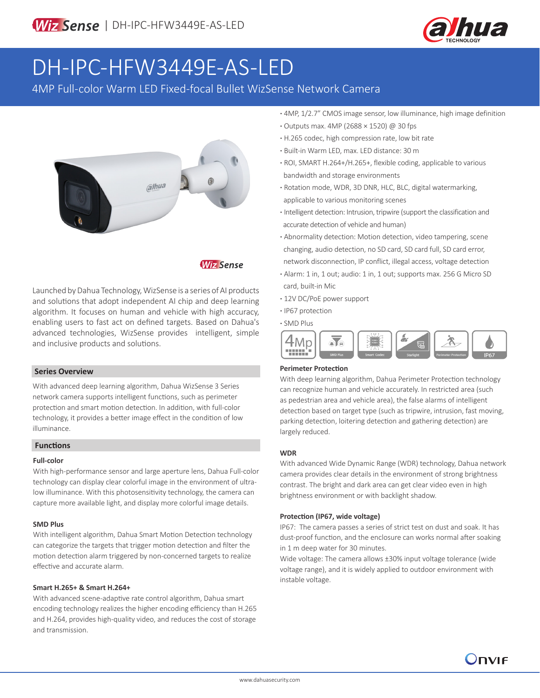

# DH-IPC-HFW3449E-AS-LED

4MP Full-color Warm LED Fixed-focal Bullet WizSense Network Camera



**Wiz Sense** 

Launched by Dahua Technology, WizSense is a series of AI products and solutions that adopt independent AI chip and deep learning algorithm. It focuses on human and vehicle with high accuracy, enabling users to fast act on defined targets. Based on Dahua's advanced technologies, WizSense provides intelligent, simple and inclusive products and solutions.

### **Series Overview**

With advanced deep learning algorithm, Dahua WizSense 3 Series network camera supports intelligent functions, such as perimeter protection and smart motion detection. In addition, with full-color technology, it provides a better image effect in the condition of low illuminance.

### **Functions**

### **Full-color**

With high-performance sensor and large aperture lens, Dahua Full-color technology can display clear colorful image in the environment of ultralow illuminance. With this photosensitivity technology, the camera can capture more available light, and display more colorful image details.

#### **SMD Plus**

With intelligent algorithm, Dahua Smart Motion Detection technology can categorize the targets that trigger motion detection and filter the motion detection alarm triggered by non-concerned targets to realize effective and accurate alarm.

#### **Smart H.265+ & Smart H.264+**

With advanced scene-adaptive rate control algorithm, Dahua smart encoding technology realizes the higher encoding efficiency than H.265 and H.264, provides high-quality video, and reduces the cost of storage and transmission.

- **·** 4MP, 1/2.7" CMOS image sensor, low illuminance, high image definition
- **·** Outputs max. 4MP (2688 × 1520) @ 30 fps
- **·** H.265 codec, high compression rate, low bit rate
- **·** Built-in Warm LED, max. LED distance: 30 m
- **·** ROI, SMART H.264+/H.265+, flexible coding, applicable to various bandwidth and storage environments
- **·** Rotation mode, WDR, 3D DNR, HLC, BLC, digital watermarking, applicable to various monitoring scenes
- **·** Intelligent detection: Intrusion, tripwire (support the classification and accurate detection of vehicle and human)
- **·** Abnormality detection: Motion detection, video tampering, scene changing, audio detection, no SD card, SD card full, SD card error, network disconnection, IP conflict, illegal access, voltage detection
- **·** Alarm: 1 in, 1 out; audio: 1 in, 1 out; supports max. 256 G Micro SD card, built-in Mic
- **·** 12V DC/PoE power support
- **·** IP67 protection
- **·** SMD Plus



### **Perimeter Protection**

With deep learning algorithm, Dahua Perimeter Protection technology can recognize human and vehicle accurately. In restricted area (such as pedestrian area and vehicle area), the false alarms of intelligent detection based on target type (such as tripwire, intrusion, fast moving, parking detection, loitering detection and gathering detection) are largely reduced.

### **WDR**

With advanced Wide Dynamic Range (WDR) technology, Dahua network camera provides clear details in the environment of strong brightness contrast. The bright and dark area can get clear video even in high brightness environment or with backlight shadow.

### **Protection (IP67, wide voltage)**

IP67: The camera passes a series of strict test on dust and soak. It has dust-proof function, and the enclosure can works normal after soaking in 1 m deep water for 30 minutes.

Wide voltage: The camera allows ±30% input voltage tolerance (wide voltage range), and it is widely applied to outdoor environment with instable voltage.

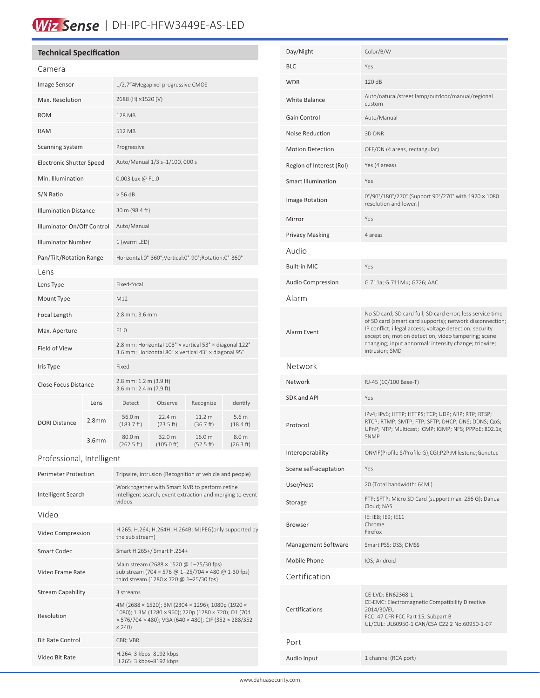# Wiz Sense | DH-IPC-HFW3449E-AS-LED

### **Technical Specification**

| Camera                          |                   |                                                                                                                |                      |                     |                                         |
|---------------------------------|-------------------|----------------------------------------------------------------------------------------------------------------|----------------------|---------------------|-----------------------------------------|
| Image Sensor                    |                   | 1/2.7"4Megapixel progressive CMOS                                                                              |                      |                     |                                         |
| Max. Resolution                 |                   | 2688 (H) ×1520 (V)                                                                                             |                      |                     |                                         |
| <b>ROM</b>                      |                   | <b>128 MB</b>                                                                                                  |                      |                     |                                         |
| <b>RAM</b>                      |                   | 512 MB                                                                                                         |                      |                     |                                         |
| <b>Scanning System</b>          |                   | Progressive                                                                                                    |                      |                     |                                         |
| <b>Electronic Shutter Speed</b> |                   | Auto/Manual 1/3 s-1/100, 000 s                                                                                 |                      |                     |                                         |
| Min. Illumination               |                   | 0.003 Lux @ F1.0                                                                                               |                      |                     |                                         |
| S/N Ratio                       |                   | > 56 dB                                                                                                        |                      |                     |                                         |
| <b>Illumination Distance</b>    |                   | 30 m (98.4 ft)                                                                                                 |                      |                     |                                         |
| Illuminator On/Off Control      |                   | Auto/Manual                                                                                                    |                      |                     |                                         |
| <b>Illuminator Number</b>       |                   | 1 (warm LED)                                                                                                   |                      |                     |                                         |
| Pan/Tilt/Rotation Range         |                   | Horizontal:0°-360°;Vertical:0°-90°;Rotation:0°-360°                                                            |                      |                     |                                         |
| Lens                            |                   |                                                                                                                |                      |                     |                                         |
| Lens Type                       |                   | Fixed-focal                                                                                                    |                      |                     |                                         |
| Mount Type                      |                   | M12                                                                                                            |                      |                     |                                         |
| Focal Length                    |                   | 2.8 mm; 3.6 mm                                                                                                 |                      |                     |                                         |
| Max. Aperture                   |                   | F1.0                                                                                                           |                      |                     |                                         |
| Field of View                   |                   | 2.8 mm: Horizontal 103° × vertical 53° × diagonal 122°<br>3.6 mm: Horizontal 80° x vertical 43° x diagonal 95° |                      |                     |                                         |
| Iris Type                       |                   | Fixed                                                                                                          |                      |                     |                                         |
| Close Focus Distance            |                   | 2.8 mm: 1.2 m (3.9 ft)<br>3.6 mm: 2.4 m (7.9 ft)                                                               |                      |                     |                                         |
| <b>DORI Distance</b>            | Lens              | Detect                                                                                                         | Observe              | Recognize           | Identify                                |
|                                 | 2.8 <sub>mm</sub> | 56.0 m<br>$(183.7 \text{ ft})$                                                                                 | 22.4 m<br>(73.5 ft)  | 11.2 m<br>(36.7 ft) | 5.6 <sub>m</sub><br>$(18.4 \text{ ft})$ |
|                                 | 3.6 <sub>mm</sub> | 80.0 m<br>(262.5 ft)                                                                                           | 32.0 m<br>(105.0 ft) | 16.0 m<br>(52.5 ft) | 8.0 m<br>(26.3 ft)                      |

### Professional, Intelligent

| Perimeter Protection     | Tripwire, intrusion (Recognition of vehicle and people)                                                                                                                             |  |  |
|--------------------------|-------------------------------------------------------------------------------------------------------------------------------------------------------------------------------------|--|--|
| Intelligent Search       | Work together with Smart NVR to perform refine<br>intelligent search, event extraction and merging to event<br>videos                                                               |  |  |
| Video                    |                                                                                                                                                                                     |  |  |
| Video Compression        | H.265; H.264; H.264H; H.264B; MJPEG(only supported by<br>the sub stream)                                                                                                            |  |  |
| Smart Codec              | Smart H.265+/ Smart H.264+                                                                                                                                                          |  |  |
| Video Frame Rate         | Main stream (2688 × 1520 @ 1-25/30 fps)<br>sub stream (704 x 576 @ 1-25/704 x 480 @ 1-30 fps)<br>third stream (1280 × 720 @ 1-25/30 fps)                                            |  |  |
| <b>Stream Capability</b> | 3 streams                                                                                                                                                                           |  |  |
| Resolution               | 4M (2688 × 1520); 3M (2304 × 1296); 1080p (1920 ×<br>1080); 1.3M (1280 × 960); 720p (1280 × 720); D1 (704<br>x 576/704 x 480); VGA (640 x 480); CIF (352 x 288/352<br>$\times$ 240) |  |  |
| <b>Bit Rate Control</b>  | CBR; VBR                                                                                                                                                                            |  |  |
| Video Bit Rate           | H.264: 3 kbps-8192 kbps<br>H.265: 3 kbps-8192 kbps                                                                                                                                  |  |  |

| Day/Night                 | Color/B/W                                                                                                                                                                                                                                                                                                            |  |
|---------------------------|----------------------------------------------------------------------------------------------------------------------------------------------------------------------------------------------------------------------------------------------------------------------------------------------------------------------|--|
| <b>BLC</b>                | Yes                                                                                                                                                                                                                                                                                                                  |  |
| <b>WDR</b>                | 120 dB                                                                                                                                                                                                                                                                                                               |  |
| White Balance             | Auto/natural/street lamp/outdoor/manual/regional<br>custom                                                                                                                                                                                                                                                           |  |
| Gain Control              | Auto/Manual                                                                                                                                                                                                                                                                                                          |  |
| <b>Noise Reduction</b>    | 3D DNR                                                                                                                                                                                                                                                                                                               |  |
| <b>Motion Detection</b>   | OFF/ON (4 areas, rectangular)                                                                                                                                                                                                                                                                                        |  |
| Region of Interest (RoI)  | Yes (4 areas)                                                                                                                                                                                                                                                                                                        |  |
| <b>Smart Illumination</b> | Yes                                                                                                                                                                                                                                                                                                                  |  |
| Image Rotation            | 0°/90°/180°/270° (Support 90°/270° with 1920 × 1080<br>resolution and lower.)                                                                                                                                                                                                                                        |  |
| Mirror                    | Yes                                                                                                                                                                                                                                                                                                                  |  |
| <b>Privacy Masking</b>    | 4 areas                                                                                                                                                                                                                                                                                                              |  |
| Audio                     |                                                                                                                                                                                                                                                                                                                      |  |
| <b>Built-in MIC</b>       | Yes                                                                                                                                                                                                                                                                                                                  |  |
| <b>Audio Compression</b>  | G.711a; G.711Mu; G726; AAC                                                                                                                                                                                                                                                                                           |  |
| Alarm                     |                                                                                                                                                                                                                                                                                                                      |  |
| Alarm Event               | No SD card; SD card full; SD card error; less service time<br>of SD card (smart card supports); network disconnection;<br>IP conflict; illegal access; voltage detection; security<br>exception; motion detection; video tampering; scene<br>changing; input abnormal; intensity change; tripwire;<br>intrusion; SMD |  |
| Network                   |                                                                                                                                                                                                                                                                                                                      |  |
| Network                   | RJ-45 (10/100 Base-T)                                                                                                                                                                                                                                                                                                |  |
| <b>SDK and API</b>        | Yes                                                                                                                                                                                                                                                                                                                  |  |
| Protocol                  | IPv4; IPv6; HTTP; HTTPS; TCP; UDP; ARP; RTP; RTSP;<br>RTCP; RTMP; SMTP; FTP; SFTP; DHCP; DNS; DDNS; QoS;<br>UPnP; NTP; Multicast; ICMP; IGMP; NFS; PPPoE; 802.1x;<br><b>SNMP</b>                                                                                                                                     |  |
| Interoperability          | ONVIF(Profile S/Profile G);CGI;P2P;Milestone;Genetec                                                                                                                                                                                                                                                                 |  |
| Scene self-adaptation     | Yes                                                                                                                                                                                                                                                                                                                  |  |
| User/Host                 | 20 (Total bandwidth: 64M.)                                                                                                                                                                                                                                                                                           |  |
| Storage                   | FTP; SFTP; Micro SD Card (support max. 256 G); Dahua<br>Cloud; NAS                                                                                                                                                                                                                                                   |  |
| <b>Browser</b>            | IE: IE8; IE9; IE11<br>Chrome<br>Firefox                                                                                                                                                                                                                                                                              |  |
| Management Software       | Smart PSS; DSS; DMSS                                                                                                                                                                                                                                                                                                 |  |
| Mobile Phone              | IOS; Android                                                                                                                                                                                                                                                                                                         |  |
| Certification             |                                                                                                                                                                                                                                                                                                                      |  |
|                           | CE-LVD: EN62368-1<br>CE-EMC: Electromagnetic Compatibility Directive                                                                                                                                                                                                                                                 |  |
| Certifications            | 2014/30/EU<br>FCC: 47 CFR FCC Part 15, Subpart B<br>UL/CUL: UL60950-1 CAN/CSA C22.2 No.60950-1-07                                                                                                                                                                                                                    |  |
| Port                      |                                                                                                                                                                                                                                                                                                                      |  |